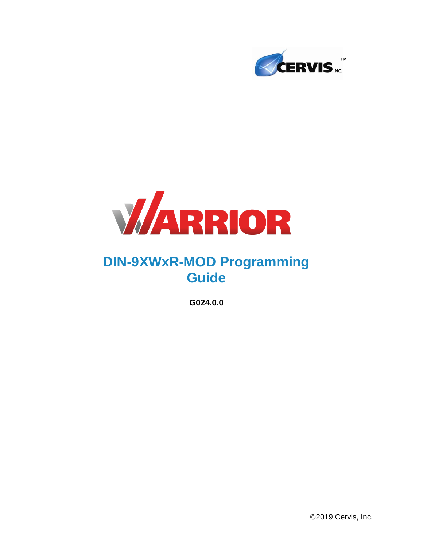



# **DIN-9XWxR-MOD Programming Guide**

**G024.0.0**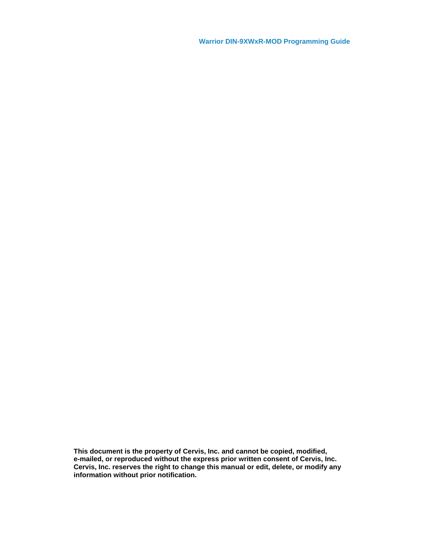**Warrior DIN-9XWxR-MOD Programming Guide**

**This document is the property of Cervis, Inc. and cannot be copied, modified, e-mailed, or reproduced without the express prior written consent of Cervis, Inc. Cervis, Inc. reserves the right to change this manual or edit, delete, or modify any information without prior notification.**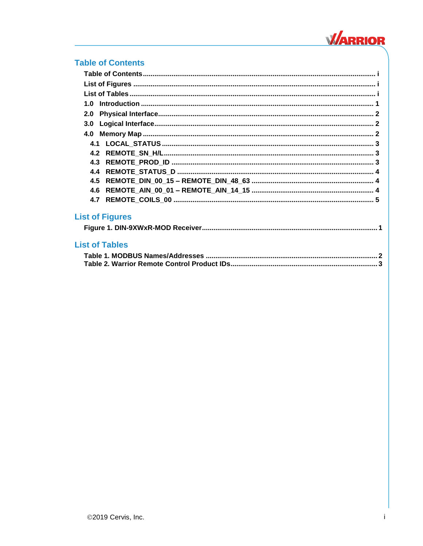

### <span id="page-2-0"></span>**Table of Contents**

| 1.0                    |  |
|------------------------|--|
| 2.0                    |  |
| 3.0                    |  |
|                        |  |
|                        |  |
|                        |  |
|                        |  |
| 4.4                    |  |
|                        |  |
| 4.6                    |  |
| 4.7                    |  |
| <b>List of Figures</b> |  |
| <b>List of Tables</b>  |  |

<span id="page-2-2"></span><span id="page-2-1"></span>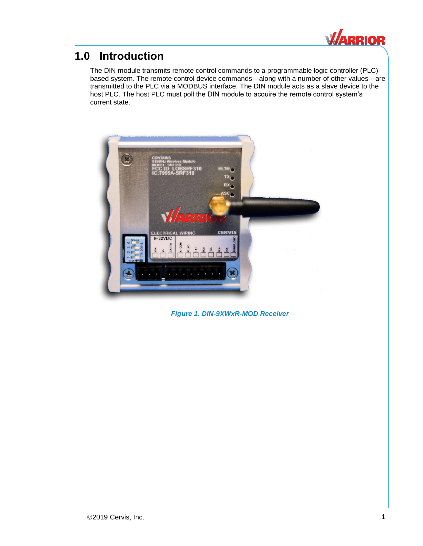

### <span id="page-4-0"></span>**1.0 Introduction**

The DIN module transmits remote control commands to a programmable logic controller (PLC) based system. The remote control device commands—along with a number of other values—are transmitted to the PLC via a MODBUS interface. The DIN module acts as a slave device to the host PLC. The host PLC must poll the DIN module to acquire the remote control system's current state.

<span id="page-4-1"></span>

*Figure 1. DIN-9XWxR-MOD Receiver*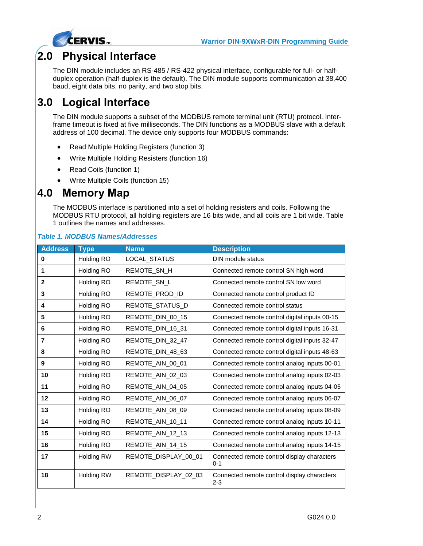

## <span id="page-5-0"></span>**2.0 Physical Interface**

The DIN module includes an RS-485 / RS-422 physical interface, configurable for full- or halfduplex operation (half-duplex is the default). The DIN module supports communication at 38,400 baud, eight data bits, no parity, and two stop bits.

# <span id="page-5-1"></span>**3.0 Logical Interface**

The DIN module supports a subset of the MODBUS remote terminal unit (RTU) protocol. Interframe timeout is fixed at five milliseconds. The DIN functions as a MODBUS slave with a default address of 100 decimal. The device only supports four MODBUS commands:

- Read Multiple Holding Registers (function 3)
- Write Multiple Holding Resisters (function 16)
- Read Coils (function 1)
- Write Multiple Coils (function 15)

### <span id="page-5-2"></span>**4.0 Memory Map**

The MODBUS interface is partitioned into a set of holding resisters and coils. Following the MODBUS RTU protocol, all holding registers are 16 bits wide, and all coils are 1 bit wide. [Table](#page-5-3)  [1](#page-5-3) outlines the names and addresses.

<span id="page-5-3"></span>

|  | <b>Table 1. MODBUS Names/Addresses</b> |
|--|----------------------------------------|
|  |                                        |

| <b>Address</b> | <b>Type</b>       | <b>Name</b>          | <b>Description</b>                                     |
|----------------|-------------------|----------------------|--------------------------------------------------------|
| 0              | Holding RO        | LOCAL_STATUS         | DIN module status                                      |
| 1              | Holding RO        | REMOTE_SN_H          | Connected remote control SN high word                  |
| $\mathbf{2}$   | Holding RO        | REMOTE_SN_L          | Connected remote control SN low word                   |
| 3              | Holding RO        | REMOTE_PROD_ID       | Connected remote control product ID                    |
| 4              | Holding RO        | REMOTE_STATUS_D      | Connected remote control status                        |
| 5              | Holding RO        | REMOTE_DIN_00_15     | Connected remote control digital inputs 00-15          |
| 6              | Holding RO        | REMOTE_DIN_16_31     | Connected remote control digital inputs 16-31          |
| 7              | Holding RO        | REMOTE_DIN_32_47     | Connected remote control digital inputs 32-47          |
| 8              | Holding RO        | REMOTE_DIN_48_63     | Connected remote control digital inputs 48-63          |
| 9              | Holding RO        | REMOTE_AIN_00_01     | Connected remote control analog inputs 00-01           |
| 10             | Holding RO        | REMOTE_AIN_02_03     | Connected remote control analog inputs 02-03           |
| 11             | Holding RO        | REMOTE_AIN_04_05     | Connected remote control analog inputs 04-05           |
| 12             | Holding RO        | REMOTE_AIN_06_07     | Connected remote control analog inputs 06-07           |
| 13             | Holding RO        | REMOTE_AIN_08_09     | Connected remote control analog inputs 08-09           |
| 14             | Holding RO        | REMOTE_AIN_10_11     | Connected remote control analog inputs 10-11           |
| 15             | Holding RO        | REMOTE_AIN_12_13     | Connected remote control analog inputs 12-13           |
| 16             | Holding RO        | REMOTE AIN 14 15     | Connected remote control analog inputs 14-15           |
| 17             | <b>Holding RW</b> | REMOTE DISPLAY 00 01 | Connected remote control display characters<br>$0 - 1$ |
| 18             | <b>Holding RW</b> | REMOTE_DISPLAY_02_03 | Connected remote control display characters<br>$2 - 3$ |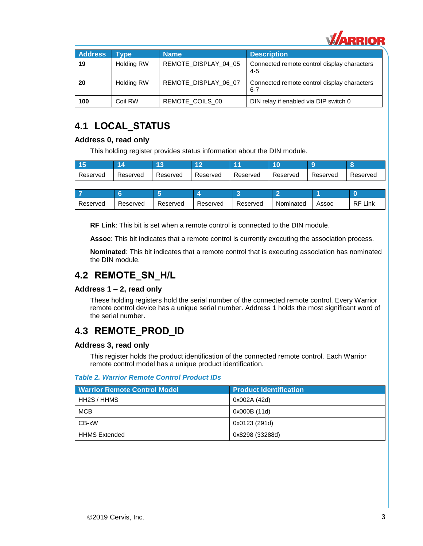

| <b>Address</b> | <b>Type</b>       | <b>Name</b>          | <b>Description</b>                                     |
|----------------|-------------------|----------------------|--------------------------------------------------------|
| 19             | <b>Holding RW</b> | REMOTE DISPLAY 04 05 | Connected remote control display characters<br>$4 - 5$ |
| 20             | <b>Holding RW</b> | REMOTE DISPLAY 06 07 | Connected remote control display characters<br>$6 - 7$ |
| 100            | Coil RW           | REMOTE COILS 00      | DIN relay if enabled via DIP switch 0                  |

### <span id="page-6-0"></span>**4.1 LOCAL\_STATUS**

#### **Address 0, read only**

This holding register provides status information about the DIN module.

| <b>145</b><br>. . |          |          | ה ו      |          |          |          |          |
|-------------------|----------|----------|----------|----------|----------|----------|----------|
| Reserved          | Reserved | Reserved | Reserved | Reserved | Reserved | Reserved | Reserved |

| Reserved | Reserved | Reserved | Reserved | Reserved | Nominated | Assoc | RF<br>Link |
|----------|----------|----------|----------|----------|-----------|-------|------------|

**RF Link**: This bit is set when a remote control is connected to the DIN module.

**Assoc**: This bit indicates that a remote control is currently executing the association process.

**Nominated**: This bit indicates that a remote control that is executing association has nominated the DIN module.

### <span id="page-6-1"></span>**4.2 REMOTE\_SN\_H/L**

#### **Address 1 – 2, read only**

These holding registers hold the serial number of the connected remote control. Every Warrior remote control device has a unique serial number. Address 1 holds the most significant word of the serial number.

### <span id="page-6-2"></span>**4.3 REMOTE\_PROD\_ID**

#### **Address 3, read only**

This register holds the product identification of the connected remote control. Each Warrior remote control model has a unique product identification.

#### <span id="page-6-3"></span>*Table 2. Warrior Remote Control Product IDs*

| <b>Warrior Remote Control Model</b> | <b>Product Identification</b> |  |  |
|-------------------------------------|-------------------------------|--|--|
| HH2S / HHMS                         | 0x002A (42d)                  |  |  |
| <b>MCB</b>                          | 0x000B (11d)                  |  |  |
| CB-xW                               | 0x0123 (291d)                 |  |  |
| <b>HHMS Extended</b>                | 0x8298 (33288d)               |  |  |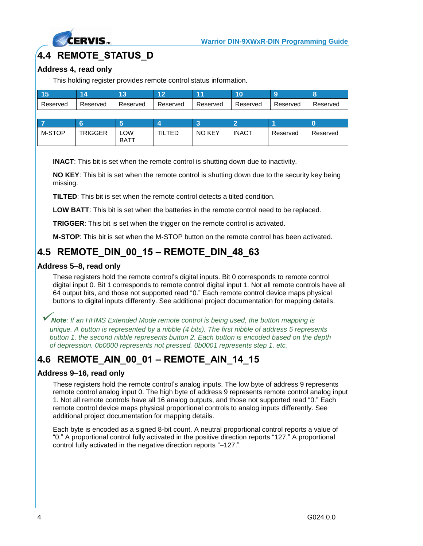

### <span id="page-7-0"></span>**4.4 REMOTE\_STATUS\_D**

#### **Address 4, read only**

This holding register provides remote control status information.

| u        |          |          |          |          |          |          |          |
|----------|----------|----------|----------|----------|----------|----------|----------|
| Reserved | Reserved | Reserved | Reserved | Reserved | Reserved | Reserved | Reserved |

| 77     |                |             |       |               |              |          |          |
|--------|----------------|-------------|-------|---------------|--------------|----------|----------|
| M-STOP | <b>TRIGGER</b> | ∟OW<br>BATT | ILTED | <b>NO KEY</b> | <b>INACT</b> | Reserved | Reserved |

**INACT**: This bit is set when the remote control is shutting down due to inactivity.

**NO KEY**: This bit is set when the remote control is shutting down due to the security key being missing.

**TILTED**: This bit is set when the remote control detects a tilted condition.

**LOW BATT**: This bit is set when the batteries in the remote control need to be replaced.

**TRIGGER**: This bit is set when the trigger on the remote control is activated.

**M-STOP**: This bit is set when the M-STOP button on the remote control has been activated.

### <span id="page-7-1"></span>**4.5 REMOTE\_DIN\_00\_15 – REMOTE\_DIN\_48\_63**

#### **Address 5–8, read only**

These registers hold the remote control's digital inputs. Bit 0 corresponds to remote control digital input 0. Bit 1 corresponds to remote control digital input 1. Not all remote controls have all 64 output bits, and those not supported read "0." Each remote control device maps physical buttons to digital inputs differently. See additional project documentation for mapping details.

✓*Note: If an HHMS Extended Mode remote control is being used, the button mapping is unique. A button is represented by a nibble (4 bits). The first nibble of address 5 represents button 1, the second nibble represents button 2. Each button is encoded based on the depth of depression. 0b0000 represents not pressed. 0b0001 represents step 1, etc.*

### <span id="page-7-2"></span>**4.6 REMOTE\_AIN\_00\_01 – REMOTE\_AIN\_14\_15**

#### **Address 9–16, read only**

These registers hold the remote control's analog inputs. The low byte of address 9 represents remote control analog input 0. The high byte of address 9 represents remote control analog input 1. Not all remote controls have all 16 analog outputs, and those not supported read "0." Each remote control device maps physical proportional controls to analog inputs differently. See additional project documentation for mapping details.

Each byte is encoded as a signed 8-bit count. A neutral proportional control reports a value of "0." A proportional control fully activated in the positive direction reports "127." A proportional control fully activated in the negative direction reports "–127."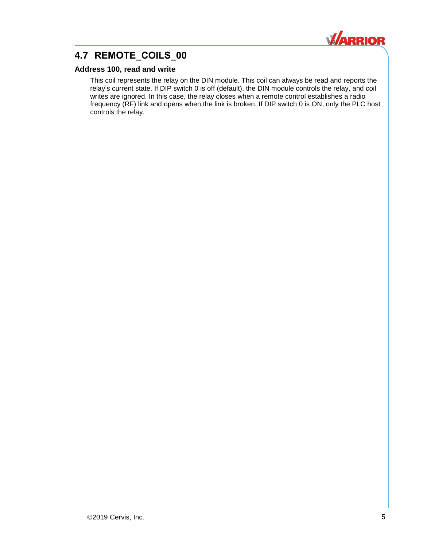

### <span id="page-8-0"></span>**4.7 REMOTE\_COILS\_00**

#### **Address 100, read and write**

This coil represents the relay on the DIN module. This coil can always be read and reports the relay's current state. If DIP switch 0 is off (default), the DIN module controls the relay, and coil writes are ignored. In this case, the relay closes when a remote control establishes a radio frequency (RF) link and opens when the link is broken. If DIP switch 0 is ON, only the PLC host controls the relay.